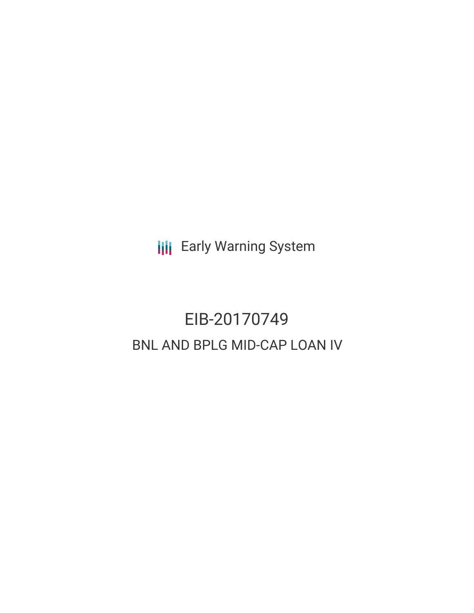**III** Early Warning System

# EIB-20170749 BNL AND BPLG MID-CAP LOAN IV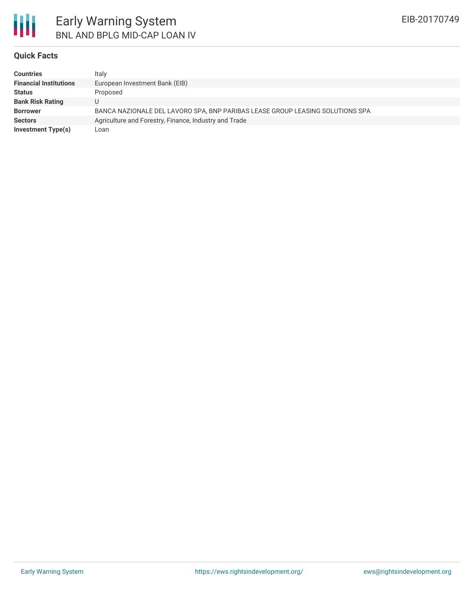

### **Quick Facts**

| <b>Countries</b>              | Italy                                                                         |
|-------------------------------|-------------------------------------------------------------------------------|
| <b>Financial Institutions</b> | European Investment Bank (EIB)                                                |
| <b>Status</b>                 | Proposed                                                                      |
| <b>Bank Risk Rating</b>       |                                                                               |
| <b>Borrower</b>               | BANCA NAZIONALE DEL LAVORO SPA, BNP PARIBAS LEASE GROUP LEASING SOLUTIONS SPA |
| <b>Sectors</b>                | Agriculture and Forestry, Finance, Industry and Trade                         |
| Investment Type(s)            | Loan                                                                          |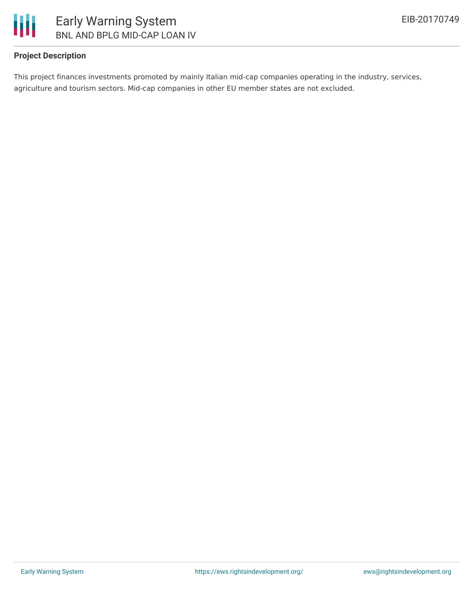

## **Project Description**

This project finances investments promoted by mainly Italian mid-cap companies operating in the industry, services, agriculture and tourism sectors. Mid-cap companies in other EU member states are not excluded.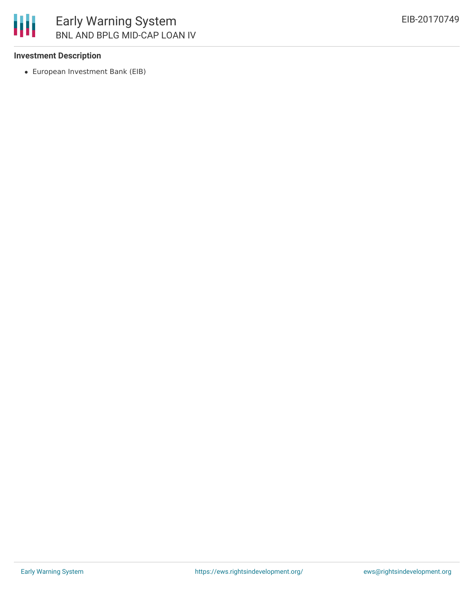### **Investment Description**

European Investment Bank (EIB)